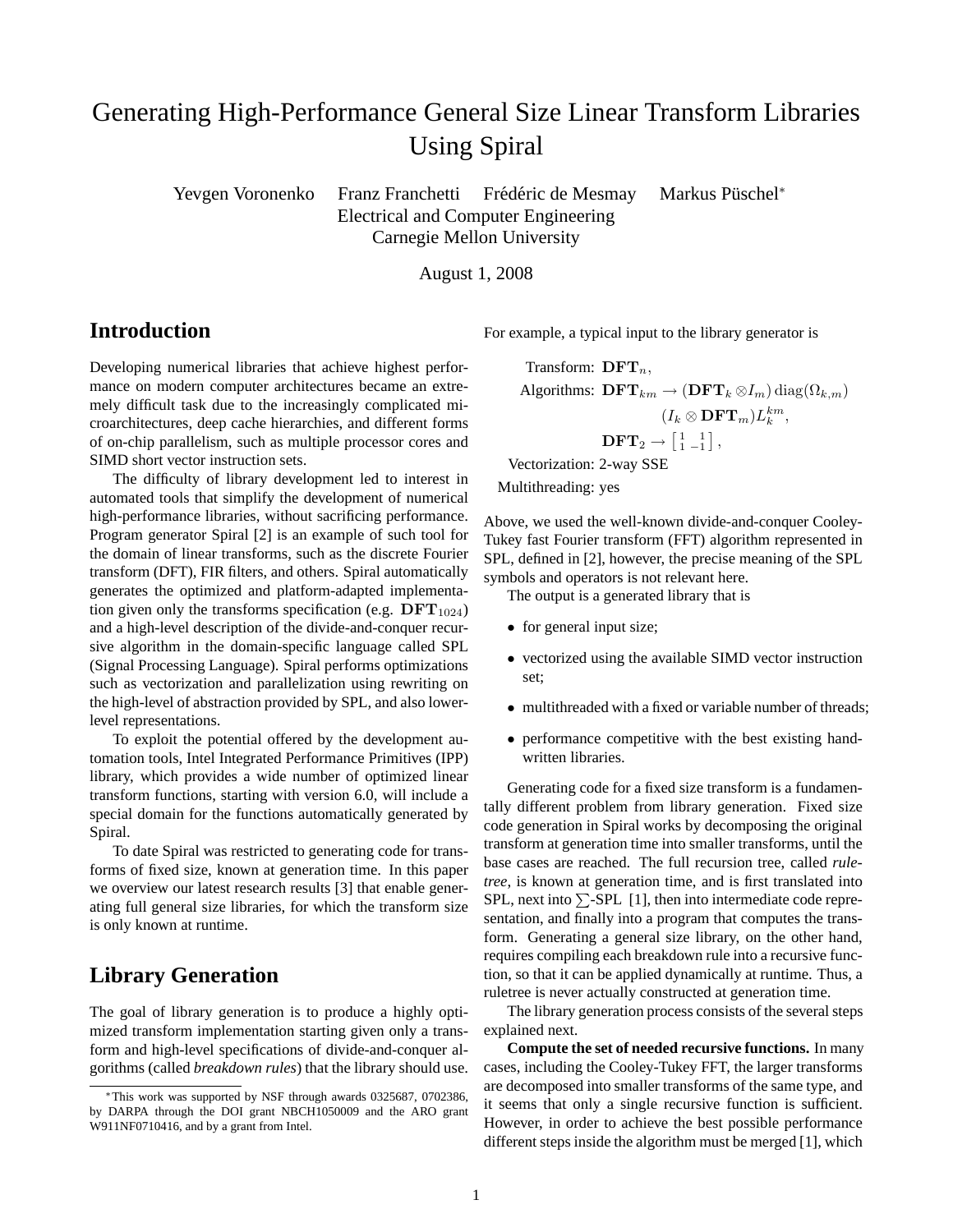# Generating High-Performance General Size Linear Transform Libraries Using Spiral

Yevgen Voronenko Franz Franchetti Frédéric de Mesmay Markus Püschel<sup>\*</sup> Electrical and Computer Engineering Carnegie Mellon University

August 1, 2008

## **Introduction**

Developing numerical libraries that achieve highest performance on modern computer architectures became an extremely difficult task due to the increasingly complicated microarchitectures, deep cache hierarchies, and different forms of on-chip parallelism, such as multiple processor cores and SIMD short vector instruction sets.

The difficulty of library development led to interest in automated tools that simplify the development of numerical high-performance libraries, without sacrificing performance. Program generator Spiral [2] is an example of such tool for the domain of linear transforms, such as the discrete Fourier transform (DFT), FIR filters, and others. Spiral automatically generates the optimized and platform-adapted implementation given only the transforms specification (e.g.  $DFT_{1024}$ ) and a high-level description of the divide-and-conquer recursive algorithm in the domain-specific language called SPL (Signal Processing Language). Spiral performs optimizations such as vectorization and parallelization using rewriting on the high-level of abstraction provided by SPL, and also lowerlevel representations.

To exploit the potential offered by the development automation tools, Intel Integrated Performance Primitives (IPP) library, which provides a wide number of optimized linear transform functions, starting with version 6.0, will include a special domain for the functions automatically generated by Spiral.

To date Spiral was restricted to generating code for transforms of fixed size, known at generation time. In this paper we overview our latest research results [3] that enable generating full general size libraries, for which the transform size is only known at runtime.

# **Library Generation**

The goal of library generation is to produce a highly optimized transform implementation starting given only a transform and high-level specifications of divide-and-conquer algorithms (called *breakdown rules*) that the library should use. For example, a typical input to the library generator is

Transform:  $\text{DFT}_n$ , Algorithms:  $\text{DFT}_{km} \rightarrow (\text{DFT}_k \otimes I_m) \text{diag}(\Omega_{k,m})$  $(I_k \otimes \mathbf{DFT}_m)L_k^{km},$  $\text{DFT}_2 \rightarrow \begin{bmatrix} 1 & 1 \\ 1 & -1 \end{bmatrix}$ 

Vectorization: 2-way SSE

Multithreading: yes

Above, we used the well-known divide-and-conquer Cooley-Tukey fast Fourier transform (FFT) algorithm represented in SPL, defined in [2], however, the precise meaning of the SPL symbols and operators is not relevant here.

The output is a generated library that is

- for general input size;
- vectorized using the available SIMD vector instruction set;
- multithreaded with a fixed or variable number of threads;
- performance competitive with the best existing handwritten libraries.

Generating code for a fixed size transform is a fundamentally different problem from library generation. Fixed size code generation in Spiral works by decomposing the original transform at generation time into smaller transforms, until the base cases are reached. The full recursion tree, called *ruletree*, is known at generation time, and is first translated into SPL, next into  $\Sigma$ -SPL [1], then into intermediate code representation, and finally into a program that computes the transform. Generating a general size library, on the other hand, requires compiling each breakdown rule into a recursive function, so that it can be applied dynamically at runtime. Thus, a ruletree is never actually constructed at generation time.

The library generation process consists of the several steps explained next.

**Compute the set of needed recursive functions.** In many cases, including the Cooley-Tukey FFT, the larger transforms are decomposed into smaller transforms of the same type, and it seems that only a single recursive function is sufficient. However, in order to achieve the best possible performance different steps inside the algorithm must be merged [1], which

<sup>∗</sup>This work was supported by NSF through awards 0325687, 0702386, by DARPA through the DOI grant NBCH1050009 and the ARO grant W911NF0710416, and by a grant from Intel.